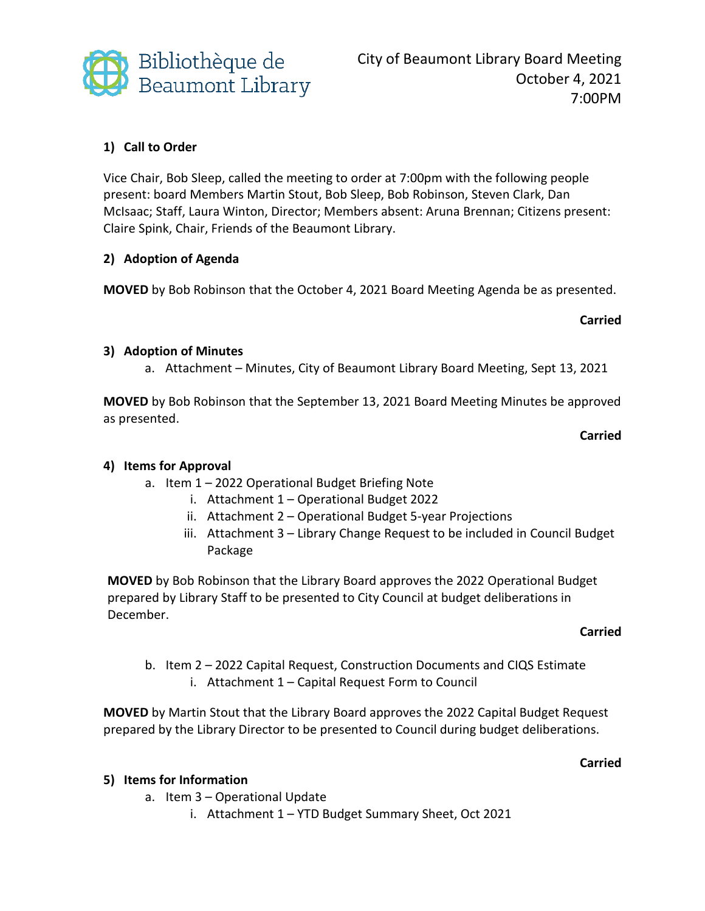

# **1) Call to Order**

Vice Chair, Bob Sleep, called the meeting to order at 7:00pm with the following people present: board Members Martin Stout, Bob Sleep, Bob Robinson, Steven Clark, Dan McIsaac; Staff, Laura Winton, Director; Members absent: Aruna Brennan; Citizens present: Claire Spink, Chair, Friends of the Beaumont Library.

## **2) Adoption of Agenda**

**MOVED** by Bob Robinson that the October 4, 2021 Board Meeting Agenda be as presented.

### **Carried**

### **3) Adoption of Minutes**

a. Attachment – Minutes, City of Beaumont Library Board Meeting, Sept 13, 2021

**MOVED** by Bob Robinson that the September 13, 2021 Board Meeting Minutes be approved as presented.

**Carried**

## **4) Items for Approval**

- a. Item 1 2022 Operational Budget Briefing Note
	- i. Attachment 1 Operational Budget 2022
	- ii. Attachment 2 Operational Budget 5-year Projections
	- iii. Attachment 3 Library Change Request to be included in Council Budget Package

**MOVED** by Bob Robinson that the Library Board approves the 2022 Operational Budget prepared by Library Staff to be presented to City Council at budget deliberations in December.

#### **Carried**

**Carried**

b. Item 2 – 2022 Capital Request, Construction Documents and CIQS Estimate i. Attachment 1 – Capital Request Form to Council

**MOVED** by Martin Stout that the Library Board approves the 2022 Capital Budget Request prepared by the Library Director to be presented to Council during budget deliberations.

#### **5) Items for Information**

- a. Item 3 Operational Update
	- i. Attachment 1 YTD Budget Summary Sheet, Oct 2021